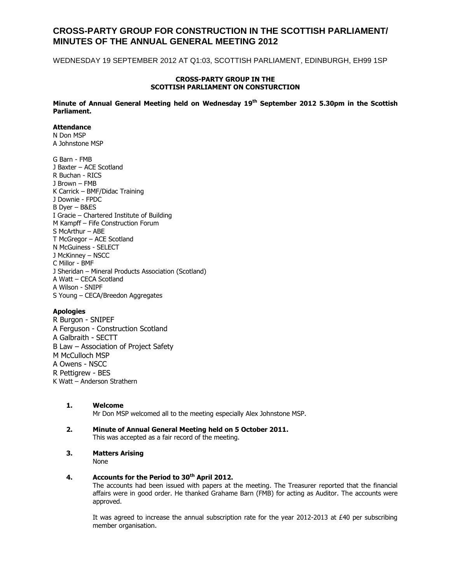# **CROSS-PARTY GROUP FOR CONSTRUCTION IN THE SCOTTISH PARLIAMENT/ MINUTES OF THE ANNUAL GENERAL MEETING 2012**

WEDNESDAY 19 SEPTEMBER 2012 AT Q1:03, SCOTTISH PARLIAMENT, EDINBURGH, EH99 1SP

## **CROSS-PARTY GROUP IN THE SCOTTISH PARLIAMENT ON CONSTURCTION**

**Minute of Annual General Meeting held on Wednesday 19th September 2012 5.30pm in the Scottish Parliament.**

## **Attendance**

N Don MSP A Johnstone MSP

G Barn - FMB J Baxter – ACE Scotland R Buchan - RICS J Brown – FMB K Carrick – BMF/Didac Training J Downie - FPDC B Dyer – B&ES I Gracie – Chartered Institute of Building M Kampff – Fife Construction Forum S McArthur – ABE T McGregor – ACE Scotland N McGuiness - SELECT J McKinney – NSCC C Millor - BMF J Sheridan – Mineral Products Association (Scotland) A Watt – CECA Scotland A Wilson - SNIPF S Young – CECA/Breedon Aggregates

# **Apologies**

R Burgon - SNIPEF A Ferguson - Construction Scotland A Galbraith - SECTT B Law – Association of Project Safety M McCulloch MSP A Owens - NSCC R Pettigrew - BES K Watt – Anderson Strathern

- **1. Welcome** Mr Don MSP welcomed all to the meeting especially Alex Johnstone MSP.
- **2. Minute of Annual General Meeting held on 5 October 2011.** This was accepted as a fair record of the meeting.
- **3. Matters Arising**

None

## **4. Accounts for the Period to 30th April 2012.**

The accounts had been issued with papers at the meeting. The Treasurer reported that the financial affairs were in good order. He thanked Grahame Barn (FMB) for acting as Auditor. The accounts were approved.

It was agreed to increase the annual subscription rate for the year 2012-2013 at £40 per subscribing member organisation.